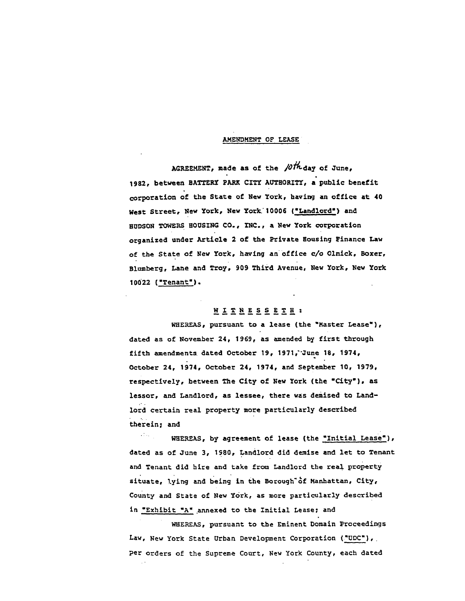## **AMENDMENT OF LEASE**

**AGREEME**N**T, made as** o**f** t**he** */*U*ln***-da**y **of J***u*n**e**w **1982,** b**etween BATT**E**RY PA**RK **CITY AUTH**O**RITY, a p**u**bl**ic b**enef**it **c**or**p**or**a**t**i**o**n** o**f th**e **S**t**ate** o**f N**e**w Y**o**rk, havi**n**g an** o**ffi**c**e at** 40 **We**st St**re**e**t, N**e**w York, New Y**o**rk.' 10006 ('Landl**o**rd') an**d **HUDSOR TOW**E**RS H**O**USING C**O**., IN**C**o, a New Y**o**rk c**o**rp**or**at**io**n** or**ganiz**ed un**de**r **Article 2** o**f** t**he Pr**i**vate H**o**us**i**ng F**i**nance Law** o**f the Stat**e o**f N**e**w Y**o**rk, h**a**v**i**ng an**o**fflce** c/o Olnl**ck**, **B**o**xe**r**, Bl**u**mberg, Lane an**d **T**ro**y**, **9**0**9 Thi**r**d Avenue**, **New Y**o**rk, New Y**o**rk 10**0**22 {**"**T**e**nan**t**" )•**

# **WITN**E**SS** E**TH :**

**WHE**R**EA**S**,** p**u**rs**uant** t**o a lease (the** "**M**as**te**r **Lea**s**e**'**), dated a**s of **N**o**vemb**er **24,** 1**969, a**s **amended b**y **f**i**rst** t**h**roug**h f**i**fth amend**me**nts date**d Octo**be**r 1**9, 197**1**,**"**J**u**n**e **18, 1974,** 9 O**c**t**ober 24,** 19**74, Oc**t**ob**er **24**, **1974, and S**e**pte**mbe**r 10, 1979**, r**espect**i**vely, be**t**we**e**n The C**i**ty** o**f N**e**w Y**o**rk (t**he "Ci**ty**'**}, as less**o**r, an**d **Landl**o**rd, as lessee, there was de**mi**se**d **to Landl**or**d** cert**ain real p**ro**pe**rt**y m**o**re particular**l**y described the**r**e**i**n; and**

 $\mathcal{L}(\mathcal{E},\mathcal{E})$ WH**EREAS, by ag**r**e**em**en**t o**f lea**se (**the .'Initial Leas**e**'), dated as** o**f June 3, 198**0**, Lan**dlor**d** d**i**d d**em**i**s**e a**n**d **l**e**t t**o **Tenant a**nd **Tenant** d**id h**ire a**n**d **take fr**om **Landl**or**d th**e **r**e**al pr**o**p**er**ty sit**u**ate,** \_**ying an**d **b**eln**g** in **th**e **B**orou**gh'**\_**f Manh**a**t**ta**n, City, c**o**unty a**nd **St**a**t**e o**f N**e**w Y**or**k, a**s **mor**e p**a**r**t**icu**lar**l**y described** in "**Exhibit "A" annexed** to **the Initial Lea**s**e; an**d

**WHEREAS, pursuant** to **t**h**e Eminent Domain P**r**oc**ee**di**ngs **Law, N**e**w Y**o**rk S**t**ate U**r**ban Dev**e**l**o**pm**e**n**t **C**or**p**o**rat**i**on ('UDC'),.** p**e**r or**d**ers of **t**he **Su**preme **Cou**rt, New **Y**ork **C**o**u**nt**y**, **eac**h d**a**te**d**

 $\sim$   $\sim$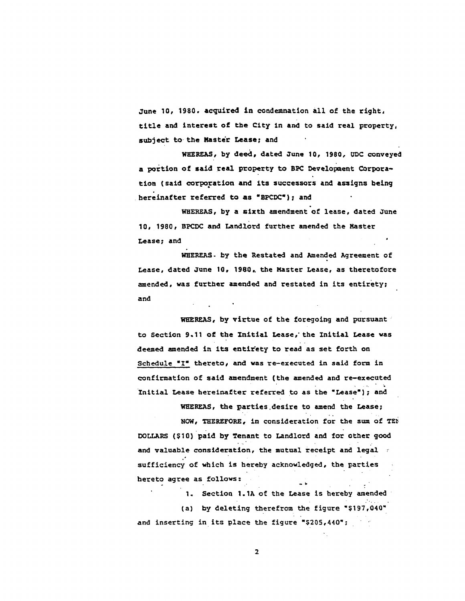June 10, 1980. acquired in condemnation all of the right. title and interest of the City in and to said real property, subject to the Master Lease; and

WHEREAS, by deed, dated June 10, 1980, UDC conveyed a portion of said real property to BPC Development Corporation (said corporation and its successors and assigns being hereinafter referred to as "BPCDC"); and

WHEREAS, by a sixth amendment of lease, dated June 10, 1980, BPCDC and Landlord further amended the Master Lease; and

WHEREAS. by the Restated and Amended Agreement of Lease, dated June 10, 1980, the Master Lease, as theretofore amended, was further amended and restated in its entirety; and

WHEREAS, by virtue of the foregoing and pursuant to Section 9.11 of the Initial Lease, the Initial Lease was deemed amended in its entirety to read as set forth on Schedule "I" thereto, and was re-executed in said form in confirmation of said amendment (the amended and re-executed Initial Lease hereinafter referred to as the "Lease"); and

WHEREAS, the parties desire to amend the Lease; NOW, THEREFORE, in consideration for the sum of TEN DOLLARS (\$10) paid by Tenant to Landlord and for other good and valuable consideration, the mutual receipt and legal sufficiency of which is hereby acknowledged, the parties hereto agree as follows:

1. Section 1.1A of the Lease is hereby amended (a) by deleting therefrom the figure "\$197,040" and inserting in its place the figure "\$205,440";

 $\overline{2}$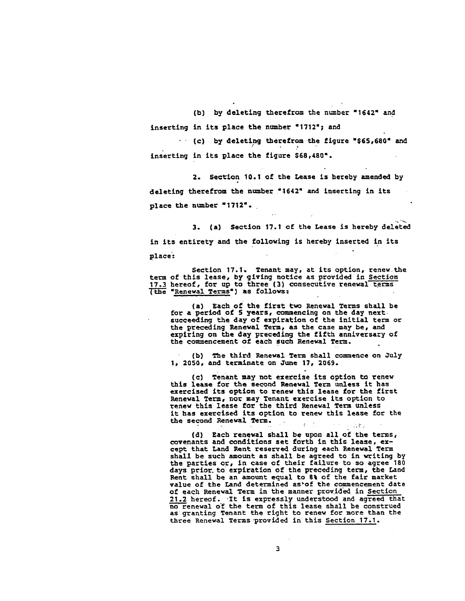**(b)** h**y deleting** t**herefr**o**m** th**e n**um**be**r **"1642**" **a**nd i**nse**r**t**i**ng** i**n its p**l**ace the n**u**mber "1**7**12**"\_ **an**d

- **(c)** by d**e**l**etl**ng th**eref**ro**m** t**he** fi**g**ur**e ,\$65,68**0" **an**d ? I**n**s**e**r**tln**g i**n** its **place the fig**u**re \$68,480**"**.**

**2.** S**e**c**ti**o**n 10.1** o**f** t**he Lease i**s **here**b**y** a**men**de**d** by d**e**l**e**ti**n**g **the**r**ef**rom **the n**u**mbe**r **"**1**642" an**d in**se**rti**n**g **in** it**s p**l**a**c**e t**h**e n**umb**e**r **"**1**712**"**o**

**3. {a} Sec**tio**n** 1**7.1** o**f the Lease** is **here**b**y** d**elet**e**d** in **it**s **en**t**i**r**et**y **and** t**he f**o**l**lowl**n**g is **hereby** i**nse**rted i**n** its place:

S**ecti**on **17.1° Tenant** ma**y, at** it**s opti**o**n,** re**new th**e **te**r**m** o**f this leas**e**,** b**y** givi**n**g **n**otic**e a**s **p**r**ov**ided in **Section** 1**7.3 he**r**e**o**f, f**or u**p t**o **th**r**e**e **(3)** c**on**s**ec**u**tive ren**e**wal** ter**m**s **"**R**e**n**ewal Te**r**ms') as foll**o**ws=**

**(a)** E**ac**h **of the f**i**r**st two **Ren**e**wa**l **T**er**ms shall** b**e for a pe**r**i**o**d of 5** y**ea**r**s**, \_mm**enc**l**n**g o**n the** d**ay next** s**uc**c**e**e**d**i**n**g th**e** d**a**y o**f e**x**pi**r**at**io**n of** t**h**e i**nit**l**a**l **te**r**m** or th**e** pre**c**edi**n**g **R**e**n**ew**al T**erm**, a**s **t**h**e ca**s**e** m**a**y be**, an**d **expiring** o**n t**h**e** d**ay prec**ed**in**g **the fifth anniv**e**r**s**a**r**y** o**f the c**o\_**nnen**ceme**n**t o**f each** suc**h R**en**e**w**al T**erm**.**

**(b) The** thl**r**a Re**ne**w**al Te**r**m** sh**all co**mm**e**n**ce on J**u**ly** I**, 205**0**,** a**n**d **t**e**rmin**a**t**e o**n J**une 1**7, 2069.**

**(c) Te**nan**t may n**o**t** e**xer**cl**se** its o**pt**io**n to renew** th**i**s **lease f**or **the** s**e**co**n**d Re**newal Term** u**nless** it **ha**s e**xer**cise**d** its o**p**tio**n t**o re**ne**w **th**i**s leas**e **f**or **t**he **f**ir**st** Ren**ewal Term,** nor may **T**e**nan**t e**xe**rc**ise it**s o**p**ti**on t**o **r**e**new this lease f**o**r** t**he th**ir**d R**en**e**w**al Te**rm u**nle**s**s i**t **ha**s **exerci**se**d its** op**t**io**n t**o r**e**n**e**w **th**i**s lease f**or **the** the second Renewal Term.  $\sim 100$  km s  $^{-1}$ 

{d**)** E**ac**h **re**n**e**wal **s**hall b**e** upon all o**f** th**e** t**e**rms**,** c**ov**e**nan**t**s and** co**n**diti**on**s s**e**t **fo**r**th in** t**h**i**s l**e**a**s**e, exc**e**p**t **that Lan**d **R**e**n**t r**eserv**ed du**r**i**n**g e**ach Renewal Te**r**m shal**l be s**u**c**h am**oun**t a**s s**hal**l **b**e **a**g**re**e**d t**o i**n w**r**it**ing **by** the **pa**rt**ies o**r**,** i**n** c**as**e **of** their **failur**e **t**o so **agre**e **18**0 **days p**rior**, t**o ex**p**i**rat**ion o**f** th**e p**re**c**e**d**ing **t**erm**, th**e **La**n**d Re**n**t** s**h**a**l**l be **an** amou**nt equal** to **8**% o**f th**e **fa**i**r** m**ark**et **v**a**l**ue o**f th**e **La**nd **d**e**t**e**rm**ined **a**st**or th**e co**mm**e**nc**e**m**e**nt date** o**f each R**e**n**e**wal T**erm **in th**e **mann**er **p**royi**d**'e**d i**n Sec**tion 21.2 h**ereo**f. .I**t i**s** e**xp**r**e**ss**ly und**ers**t**oo**d an**d **a**g**r**eed th**a**t **n**o re**n**e**wal** o**T th**e **te**rm **of** t**h**is l**ea**se s**hall** b**e c**ons**t**r**u**e**d as** g**rantin**g **Te**n**ant th**e r**i**g**ht t**o **r**enew **f**or **mo**r**e tha**n **th**e **th**ree **R**ene**w**al **T**erms p**r**o**v**i**d**e**d** i**n thi**s Se**ction 17.1.**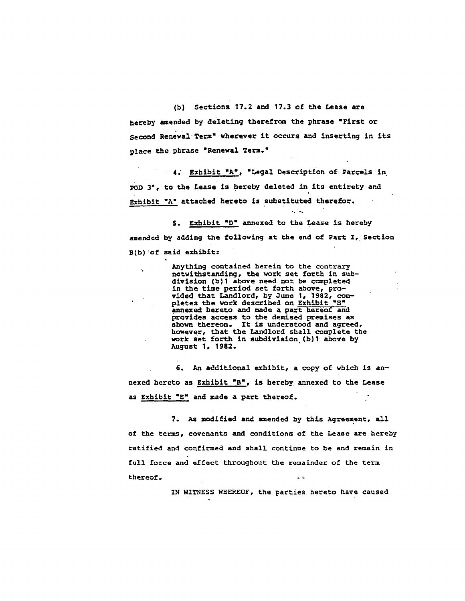(b) Sections 17.2 and 17.3 of the Lease are hereby amended by deleting therefrom the phrase "First or Second Renewal Term" wherever it occurs and inserting in its place the phrase "Renewal Term."

4. Exhibit "A", "Legal Description of Parcels in pop 3", to the Lease is hereby deleted in its entirety and Exhibit "A" attached hereto is substituted therefor.

5. Exhibit "D" annexed to the Lease is hereby amended by adding the following at the end of Part I, Section B(b) of said exhibit:

 $\sim$   $\sim$ 

Anything contained herein to the contrary notwithstanding, the work set forth in subdivision (b)1 above need not be completed in the time period set forth above, provided that Landlord, by June 1, 1982, completes the work described on Exhibit "E" annexed hereto and made a part hereof and provides access to the demised premises as<br>shown thereon. It is understood and agreed,<br>however, that the Landlord shall complete the work set forth in subdivision (b)1 above by August 1, 1982.

6. An additional exhibit, a copy of which is annexed hereto as Exhibit "B", is hereby annexed to the Lease as Exhibit "E" and made a part thereof.

7. As modified and amended by this Agreement, all of the terms, covenants and conditions of the Lease are hereby ratified and confirmed and shall continue to be and remain in full force and effect throughout the remainder of the term thereof.

IN WITNESS WHEREOF, the parties hereto have caused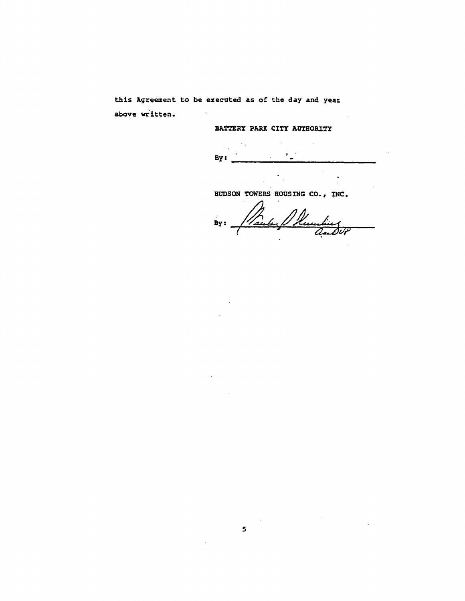this Agreement to be executed as of the day and year above written.

BATTERY PARK CITY AUTHORITY

 $\sim$   $\sim$  $\cdot$  .  $\mathcal{A}$ By:

**HUDSON TOWERS HOUSING CO., INC.** 

 $\overline{\phantom{a}}$  .

 $\sim$ 

By: Maule & Reception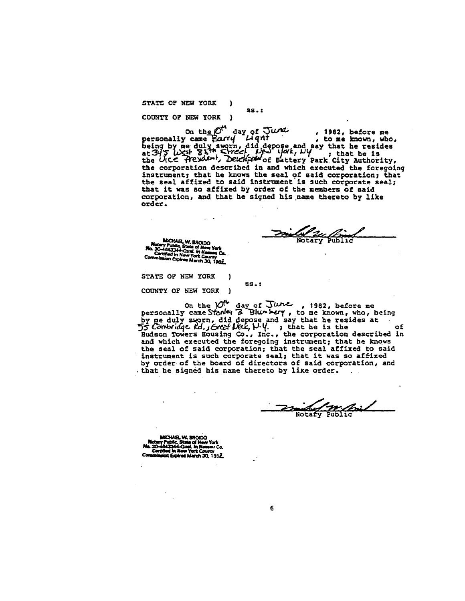STATE OF NEW YORK  $\lambda$ 

COUNTY OF NEW YORK )

on the  $D^4$  day of  $J$ *UML*, 1982, before me<br>personally came Earry Light , to me known, who,<br>being by me duly sworn, did depose and say that he resides<br>at  $345$  *West* Solem, Determined by the sattery park city,<br>the UICE the corporation described in and which executed the foregoing instrument; that he knows the seal of said corporation; that the seal affixed to said instrument is such corporate seal; that it was so affixed by order of the members of said corporation, and that he signed his name thereto by like order.

 $ss.$ :

Notary Public

MICHAEL W. BROIDO MOCHALL, W. BRUIDU<br>Not Branch Public, State of New York<br>No. 30-4643344-Qual, in New York<br>Commission Expires March 30, 1982

STATE OF NEW YORK COUNTY OF NEW YORK )

on the  $\mathcal{O}^{\uparrow k}$  day of June, 1982, before me<br>personally came Stanley  $\mathcal{O}^{\uparrow k}$  Blun bery, to me known, who, being<br>by me duly sworn, did depose and say that he resides at<br>55 Cantering e left, forcal field,  $\mathcal{$ the seal of said corporation; that the seal affixed to said instrument is such corporate seal; that it was so affixed by order of the board of directors of said corporation, and that he signed his name thereto by like order.

**SS.:** 

Notaty Public

MICHAEL W. BRODO Intervence. We are the Work of New York<br>30-4843144-Cluel, in Newsou Co.<br>Certified in New York County<br>amission Expires March 30, 1982.

6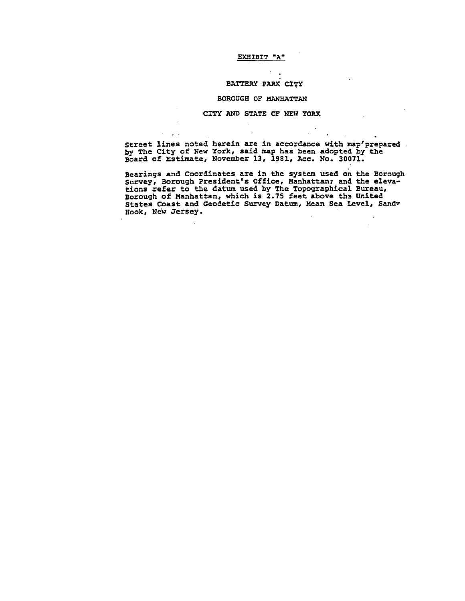# **EXHIBIT "A"**

## $BATTERY$  PARK CITY

## **BOROUGH OF MANHA**T**TAN**

## **CITY AND STATE OF NE**\_ **YORK**

 $\mathcal{L}^{\pm}$  .

**Str**e**et lines n**o**ted here**i**n are** i**n acc**o**rdance w**i**th map**t**prepar**e**d . by Th**e **City** o**f N**e**w Y**o**rk,** s**aid map has be**e**n adop**ted **b**y **the B**o**ard** o**f Estimat**e**, N**o**v**e**mb**e**r 13, 1981**, **Ac**c**. N**o**. 3**00**71.**

**B**e**arings and C**oo**rdinates are in t**h**e system used** o**n th**e **B**o**r**o**ugh survey, B**o**rough Pr**e**s**i**dent'**s **Office, Manhattan; an**d **the elevati**o**n**s **ref**e**r** to th**e** d**at**u\_**use**d **b**y **Th**e **T**o**p**og**raph**ic**al Bur**e**au, B**o**r**o**ugh** o**f Manhattan, which** is **2.75 f**e**e**t **ab**o**ve th**\_ **United States C**o**ast and G**eo**detic S**u**rv**e**y Dat**\_**n, Mean S**e**a L**e**vel, San**d**y H**oo**k, New jersey.**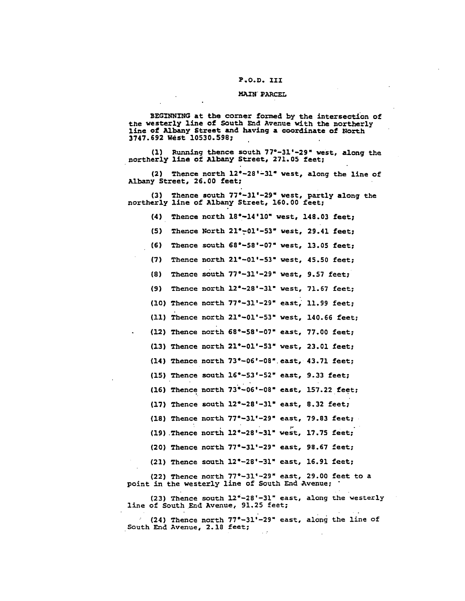#### P.O.D. III

#### MAIN PARCEL

BEGINNING at the corner formed by the intersection of the westerly line of South End Avenue with the northerly line of Albany Street and having a coordinate of North 3747.692 West 10530.598;

(1) Running thence south 77°-31'-29" west, along the northerly line of Albany Street, 271.05 feet;

(2) Thence north 12°-28'-31" west, along the line of Albany Street, 26.00 feet;

(3) Thence south 77°-31'-29" west, partly along the northerly line of Albany Street, 160.00 feet;

(4) Thence north 18°-14'10" west, 148.03 feet;

Thence North 21°-01'-53" west, 29.41 feet;  $(5)$ 

 $(6)$ Thence south 68°-58'-07" west, 13.05 feet;

(7) Thence north  $21^{\circ}-01^{\circ}-53^{\circ}$  west, 45.50 feet;

Thence south 77°-31'-29" west, 9.57 feet;  $(8)$ 

(9) Thence north  $12^{\circ} - 28^{\circ} - 31^{\circ}$  west, 71.67 feet;

(10) Thence north 77°-31'-29" east, 11.99 feet;

(11) Thence north  $21^{\circ}-01^{\prime}-53^{\circ}$  west, 140.66 feet;

(12) Thence north 68°-58'-07" east, 77.00 feet;

(13) Thence north  $21^{\circ}-01^{\circ}-53^{\circ}$  west, 23.01 feet;

(14) Thence north 73°-06'-08" east, 43.71 feet;

(15) Thence south  $16^{\circ} - 53^{\circ} - 52^{\circ}$  east, 9.33 feet;

(16) Thence north 73°-06'-08" east, 157.22 feet;

(17) Thence south  $12^{\circ}-28^{\circ}-31^{\circ}$  east, 8.32 feet;

(18) Thence north 77°-31'-29" east, 79.83 feet;

(19) Thence north 12°-28'-31" west, 17.75 feet;

(20) Thence north 77°-31'-29" east, 98.67 feet;

(21) Thence south  $12^{\circ}-28^{\circ}-31^{\circ}$  east, 16.91 feet;

(22) Thence north 77°-31'-29" east, 29.00 feet to a point in the westerly line of South End Avenue;

(23) Thence south 12°-28'-31" east, along the westerly line of South End Avenue, 91.25 feet;

(24) Thence north 77°-31'-29" east, along the line of South End Avenue, 2.18 feet;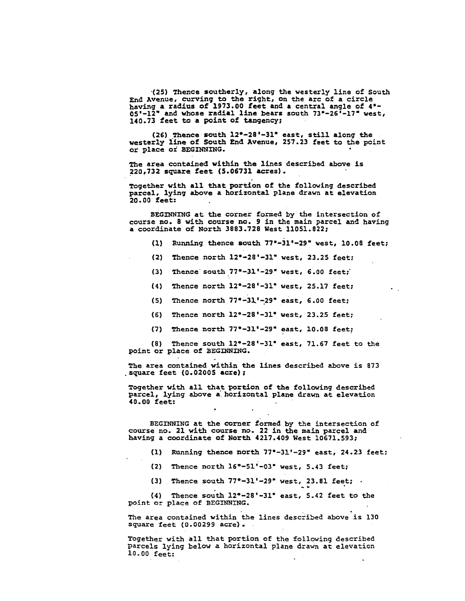**•(25) T**he**n**c**e** so**u**th**erly, al**o**ng** the **w**este**r**l**y line of S**o**uth End Avenue**, **curv**i**n**g **to the** r\_g**h**t**,** o**n** th**e a**r**c** o**f a circl**e **having a radiu**s o**f 1973.**00 **fe**e**t a**n**d a** ce**ntral angl**e **of 4**"**- 05'-12**" **and w**ho**se radial l**ine **b**e**ars** south **7**3"**-26'-17" we**st**, 14**0.**73 fee**t **t**o **a p**o**in**t o**f ta**n**gency**;

**(26) Th**e**nce** so**uth 12e-28'-31" east, still al**o**n**g **the w**es**t**e**r**l**y l**l**ne** o**f S**o**uth** E**n**d **A**v**enue, 257.**2**3 fe**et **t**o **t**h**e p**o**in**t o**r plac**e o\_ **B**E**GINNI**N**G.**

**The area contained with**i**n the** l**ine**s d**escribed ab**o**ve ks 220,73**2 s**quare feet (5.06731 acres).**

**T**oge**ther w**ith **all** th**at p**o**rtl**o**n** o**f the f**o**llow**i**n**g **described parcel, lyin**g **a**bo**ve a h**o**ri**zo**ntal p**l**ane drawn at elevati**o**n 2**0**.**0**0 fee**t**:**

**BEGINNING at th**e co**rner f**o**rmed by th**e **inter**s**e**c**ti**o**n** o**f c**o**urse n**o**. 8 w**ith **c**o**urs**e **n**o**.** 9 i**n** t**he main parcel and having a** coo**rdinat**e o**f N**o**rt**h **3883.728 West** 1**1**0**51.822;**

- **(I} Run**n**in**g th**enc**e **s**o**u**th **77e-3**1**'-2**9" **west,** 10**.**0**8 feet;**
- **(2) Thence n**o**r**th **12**"**-28'-31"** we**st**, **23.25 feet;**
- **(3) Th**e**nces**o**u**th **77°-31'-29"** w**est, 6.**00 **feet;"**
- **(4) Thenc**e **n**o**r**th **12"-28'-31"** w**est, 25.17 feet;**
- **(5)** Th**enc**e **n**o**r**t**h 77**"**-3**\_**'**\_**29" eas**t, **6.**0**0 f**e**e**t**;**
- (**6)** The**n**ce **nor**th **12**°-**2**8**'-31 " we**s**t**, **23.25 f**e**et**;
- **(7) Thence nor**th **77**"**-31'-29" east, 10.08 feet;**

**(8) Th**e**nce** so**u**th **12**"**-28'-31" east, 71.67 feet t**o **the p**o**in**t o**r pl**a**c**e o**f BEGINNING.**

**Th**e **ar**e**a c**o**ntai**n**ed with**l**n** the **lanes described abov**e **i**s **873 .**s**quar**e **feet (**0**.02**0**05 acre)**;

**T**og**e**th**er** w**ith all** th**at p**o**rti**o**n** o**f the f**o**ll**o**wi**ng **de**s**cribed parcel**, **lying ab**o**v**e **a" h**o**riz**o**nta**l **p**l**ane drawn a**t **e**lev**ati**o**n 4**0**.**0**0 feet:**

B**EGINNING at** th**e c**o**rne**r **for**m**ed b**y **the int**e**r**se**cti**on **of course no**. **21** w**i**th **course no**. **22 in the ma**i**n parc**el **a**n**d having a c**oo**rdinate** o**f N**o**r**th **421**7**.4**09 **We**s**t** 10**6**71.**593;**

**(I) Running** th**ence n**o**r**th **77**t**-3!'-29" east, 24.23 feet;**

°

- **(2) Th**e**n**c**e n**o**r**t**h 1**6e-**51"-**0**3" we**st, **5**.**43 feet;**
- **(3) Thence s**o**u**th **77°-3.1'-29" w**e**s**t**,** 2**3.81 f**e**et;**

**(4) Thence s**o**u**th 1**2**"**-28'-31" east, 5.42 feet t**o th**e point** o**r place** o**f BEGINNING.**

The area containe**d w**i**thin the lines** d**esc**r**ibed above i**s **130** s**quar**e **fe**e**t (**0**.00299** ac**r**e**).**

**T**o**geth**e**r wi**th al**l that por**t**ion** o**f the f**o**llo**w**in**g **described parcels lying b**e**l**o**w** a **horizontal p**l**ane drawn** at **el**e**va**t**ion i**0**.00 feet:**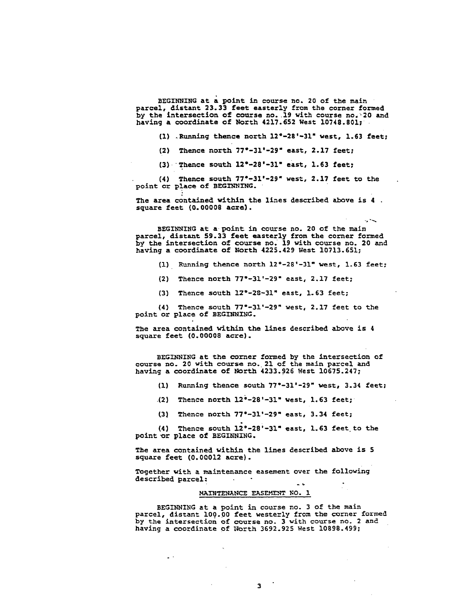**BEGINNING a**t **a p**o**in**t **in** c**ours**e **n**o. **2**0 **of t**h**e main parcel, distant 2**3**.**33 **feet easterly from the corner formed b**y **the int**e**rs**e**c**tion **of c**o**ur**s**e n**o**. 19 w**it**h c**o**urse n**o. **2**0 **and having a** coo**r**d**inat**e o**f N**o**r**t**h 4217.652 W**est **i**0**748.8**0**1**;

**(I)** .**Running thence n**o**rt**h **12**"**-2**8**'-31" w**est**, 1.6**3 **feet;**

**(2} Thenc**e no**rth** 77"**-31**'**-29"** e**a**s**t, 2**.**17 feet;**

**(3) Th**e**nc**e **s**o**uth** 1**2**"**-28'-31**" **east, 1.63 feet;**

**• (4) Then**c**e s**o**u**t**h** 77**e-31'-2**9**" we**st**, 2.1**7 **f**eet to **th**e **p**o**int** o**r place** o**f BEGIN**\_;**ING.**

**The area c**o**ntained with**i**n** t**he lines** d**escrib**e**d abov**e **is 4** s**quare f**ee**t (**0**.**0000**8 a**cre**).**

B**EGINNI**N**G a**t **a p**o**int ill** c**our**se **n**o**. 2**0 **of t**he m**a**lt **parcel,** di**stan**t **59.**3**3 feet** e**a**ste**rly fr**o**m the c**o**rner f**orm**ed by t**h**e intersection** o**f** co**urs**e **n**o**. 19 with co**u**r**se **n**o**. 2**0 a**nd having a c**oo**rd**in**a**te o**f North 4225.42**9 W**est** 1071**3.651;**

**(i) Running th**e**nc**e **n**o**rth 12**"**-2**8**'-31"** w**es**t**, 1.63 feet;**

**(2) Thenc**e **n**o**rth 7**7"**-31'-29"** e**ast, 2.17 fe**e**t;**

**(3**) **Th**e**nc**e so**ut**h **12**"**-2**8**-31"** e**ast**, **1.63 fe**e**t;**

**(4) Then**c**e** so**u**t**h 77**"**-31'-2**9**" w**e**st**, **2.17 f**eet to t**h**e **p**o**int** o**r place** o**f BEGIN**N**ING.**

**T**h**e ar**e**a c**o**n**t**ain**e**d with**i**n th**e **lin**e**s** des**crib**e**d abov**e **is 4** s**quar**e **f**ee**t (0.0**0**008 a**c**r**e).

**BEGINNINGa**t t**h**e co**rn**e**r f**orme**d by th**e **in**ter**s**e**c**t**ion** o**f course n**o. **2**0 **w**i**th c**o**urs**e **n**o**. 21 of the main parcel and ha**v**in**g **a c**oo**rdinat**e o**f N**o**r**th **4233.**92**6 We**s**t 1**0**675.247;**

**(i} Ru**n**ning th**e**nc**e s**outh** 7**7**"**-3**1'**-2**9**" w**es**t**, **3**.**34 fe**e**t;**

**(2) Th**e**n**ce **n**o**rth 12**\_**-28'-31"** we**st**, **1.63 f**ee**t;**

(**3**) **Th**e**nc**e **n**o**rth 7**7"-**31**'**-2**9**"** e**a**s**t**, **3**.**34 f**ee**t;**

**(4) Th**e**nc**e sou**th 12**°-**28**'-**31" ea**s**t**, **1**.**63 f**eet to **the** po**in**t \_r **plac**e o**f** BE**GINNING**.

**T**he **ar**e**a c**o**nta**i**ned within th**e **lin**e**s d**es**cr**ibe**d ab**o**v**e **is 5 sq**u**ar**e **f**eet **(**0**.**0001**2 acr**e**}.**

**T**oge**th**e**r w**i**th a** m**ain**t**enance e**as**em**e**nt over th**e **f**o**ll**o**wing d**e**scrib**e**d p**a**rc**e**l: CALL CO**  $\sim$   $\sim$ 

#### **MAINT**E**NANCE EASEMENT NO. 1**

 $\overline{a}$ 

B**EGINNI**N**G at a p**o**int in cour**se **n**o**. 3** o**f th**e m**ain p**a**rc**el**,** dist**an**t **1**09**.00 f**ee**t w**e**s**ter**ly f**r**om** t**h**e co**rn**e**r fo**r**m**e**d by** t**he inter**se**ction of cour**se **n**o. **3** w**i**t**h cou**rs**e n**o**. 2 and** h**avin**g **a c**oor**dinat**e **of** \_**or**t**h 3692.9**2**5 W**es**t 108**9**8.**4**99;**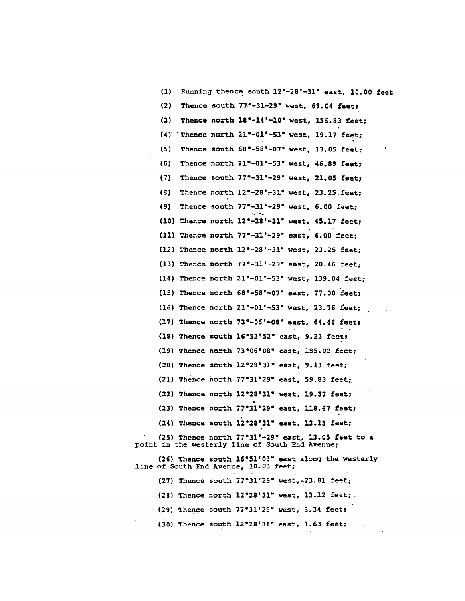| (1)         | Running thence south 12°-28'-31" east, 10.00 feet                                                     |
|-------------|-------------------------------------------------------------------------------------------------------|
| (2)         | Thence south $77^\circ$ -31-29" west, 69.04 feet;                                                     |
| (3)         | Thence north 18°-14'-10" west, 156.83 feet;                                                           |
| $(4)^\circ$ | Thence north 21°-01'-53" west, 19.17 feet;                                                            |
| (5)         | Thence south $68^\circ - 58^\circ - 07^\circ$ west, 13.05 feet;                                       |
| (6)         | Thence north 21°-01'-53" west, 46.89 feet;                                                            |
| (7)         | Thence south 77°-31'-29" west, 21.05 feet;                                                            |
| (8)         | Thence north 12°-28'-31" west, 23.25 . feet;                                                          |
| (9)         | Thence south $77^\circ - 31^\circ - 29^\circ$ west, 6.00 feet;                                        |
|             | (10) Thence north 12°-28'-31" west, 45.17 feet;                                                       |
|             | (11) Thence north $77^{\circ}-31^{\circ}-29^{\circ}$ east, 6.00 feet;                                 |
|             | (12) Thence north $12^{\circ} - 23^{\circ} - 31^{\circ}$ west, 23.25 feet;                            |
|             | (13) Thence north 77°-31'-29" east, 20.46 feet;                                                       |
|             | $(14)$ Thence north $21^{\circ}-01^{\circ}-53^{\circ}$ west, 139.04 feet;                             |
|             | $(15)$ Thence north $68^{\circ} - 58^{\circ} - 07^{\circ}$ east, 77.00 feet;                          |
|             | (16) Thence north 21°-01'-53" west, 23.76 feet;                                                       |
|             | (17) Thence north 73°-06'-08" east, 64.46 feet;                                                       |
|             | (18) Thence south 16°53'52" east, 9.33 feet;                                                          |
|             | (19) Thence north 73°06'08" east, 185.02 feet;                                                        |
|             | (20) Thence south $12^{\circ}28^{\prime}31^{\prime\prime}$ east, 9.13 feet;                           |
|             | (21) Thence north $77°31'29"$ east, 59.83 feet;                                                       |
|             | (22) Thence north 12°28'31" west, 19.37 feet;                                                         |
|             | (23) Thence north 77°31'29" east, 118.67 feet;                                                        |
|             | $(24)$ Thence south $12^{\circ}28^{\circ}31^{\circ}$ east, 13.13 feet;                                |
|             | (25) Thence north 77°31'-29" east, 13.05 feet to a<br>point in the westerly line of South End Avenue; |
|             | (26) Thence south 16°51'03" east along the westerly<br>line of South End Avenue, 10.03 feet;          |
|             | (27) Thence south $77°31'29"$ west, $23.81$ feet;                                                     |
|             | $(28)$ Thence north $12^{\circ}28'31''$ west, $13.12$ feet;                                           |
|             |                                                                                                       |

 $\mathcal{L}^{\mathcal{A}}$ 

(29) Thence south 77°31'29" west, 3.34 feet;

(30) Thence south  $12^{\circ}28^{\prime}31^{\prime\prime}$  east, 1.63 feet;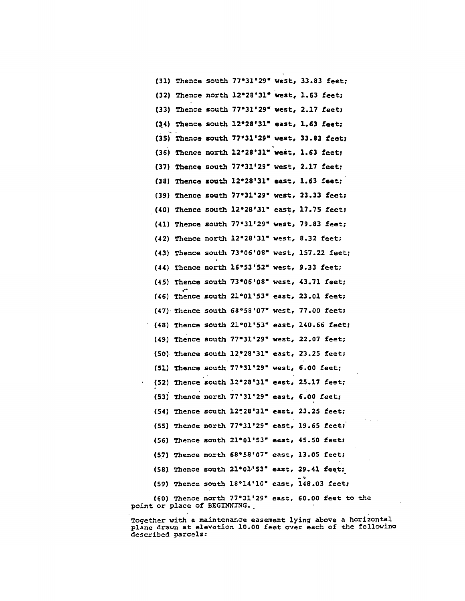(31) Thence south 77°31'29" west, 33.83 feet; (32) Thence north 12°28'31" west, 1.63 feet; (33) Thence south 77°31'29" west, 2.17 feet; (34) Thence south 12°28'31" east, 1.63 feet; (35) Thence south 77°31'29" west, 33.83 feet; (36) Thence north 12°28'31" west, 1.63 feet; (37) Thence south 77°31'29" west, 2.17 feet;  $(38)$  Thence south  $12^{\circ}28'31''$  east,  $1.63$  feet; (39) Thence south 77°31'29" west, 23.33 feet; (40) Thence south 12°28'31" east, 17.75 feet; (41) Thence south 77°31'29" west, 79.83 feet;  $(42)$  Thence north  $12^{\circ}28'31''$  west, 8.32 feet; (43) Thence south 73°06'08" west, 157.22 feet;  $(44)$  Thence north  $16°53'52"$  west, 9.33 feet; (45) Thence south 73°06'08" west, 43.71 feet; (46) Thence south 21°01'53" east, 23.01 feet; (47) Thence south 68°58'07" west, 77.00 feet; (48) Thence south 21°01'53" east, 140.66 feet; (49) Thence south 77°31'29" west, 22.07 feet; (50) Thence south 12°28'31" east, 23.25 feet; (51) Thence south 77°31'29" west, 6.00 feet; (52) Thence south 12°28'31" east, 25.17 feet; (53) Thence north  $77'31'29''$  east, 6.00 feet; (54) Thence south 12°28'31" east, 23.25 feet; (55) Thence north 77°31'29" east, 19.65 feet;  $(56)$  Thence south  $21^{\circ}01^{\prime}53^{\circ}$  east,  $45.50$  feet; (57) Thence north  $68°58'07''$  east, 13.05 feet; (58) Thence south 21°01'53" east, 29.41 feet; (59) Thence south 18°14'10" east, 148.03 feet; (60) Thence north 77°31'29" east, 60.00 feet to the point or place of BEGINNING.

Together with a maintenance easement lying above a horizontal plane drawn at elevation 10.00 feet over each of the following described parcels: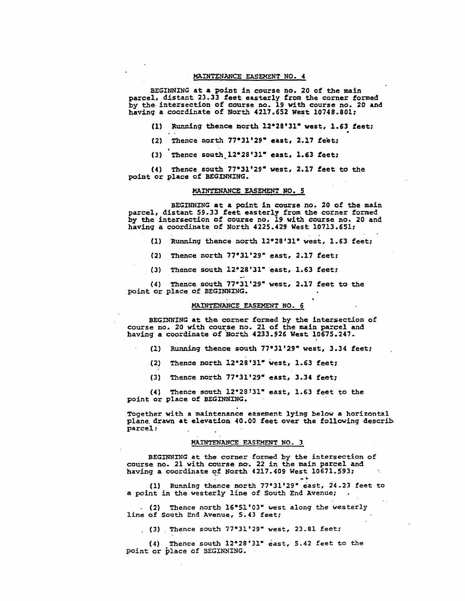#### MAI**NTEN**A**NC**E **EASE**M**ENT** NO. 4

BEGINNING at a point i**n course no. 20 of t**h**e main parc**e**l, distant 23.**33 **feet** e**a**st**e**rly **fr**om **the** co**rn**e**r f**o**r**m**ed by** th**e** i**nter**se**ct**io**n** o**f cour**s**e** no. **19 w**i**th c**o**ur**se **n**o**. 2**0 **a**n**d h**a**ving a c**oo**r**di**nate** o**f N**o**rth 4217.652 West** 10**748.8**01**;**

- **{i) Runn**i**ng** th**en**c**e n**o**rth 12"28'**3**1" west, 1.6**3 **f**e**e**t;
- **(2) The**nc**e n**o**r**th **7**7"3**1'29"** e**ast, 2.17 f**e\_**t**;
- **(3)** 'Th**e**n**ce** south**.12°28'31" ea**st, **1.6**3 **f**e**et;**

**(4) The**n**ce s**ou**t**h **77**"**3**1'**2**9**" we**st, **2.17 feet t**o th**e p**o**int** o**r plac**e o**f BEGINNING.**

## **MAINTENANCE EASEMENT NO. 5**

**BEGINNING at a p**oi**nt** i**n c**o**ur**s**e n**o**. 2**0 o**f** th**e main parcel**, **d**i**stant 59.**3**3 f**ee**t easterly fr**o**m** th**e c**o**rner f**o**rmed b**y th**e** i**nter**sec**tion** o**f c**o**urse n**o**.** 1**9 wi**th c**ourse n**o**. 2**0 **and ha**v**ing a** coo**rdinate** o**f N**o**rth 4225.429 W**e**st** 10**713**.**65**1\_

- **(**1**) Runn**i**ng** the**n**c**e n**o**rth** 1**2**°**28'3**1**" west,** 1**.63 feet;**
- **(2) Thence n**o**rth 77**"**31**'**29" east, 2.17 f**ee**t;**
- **(3) Th**e**nc**e **s**ou**th 12**°**28'31" east, 1.63 fee**t**;**

**(4)** The**nc**e **s**o**uth 77**0**31'29**" **west, 2.1**7 **f**e**et t**o **th**e **po**i**nt** o**r place** o**f BEGINNING**.

## MA**INTENANCE EASEMENT NO. 6**

**BEGINNING at** th\_ **c**o**rn**er **f**orm**ed b**y th**e** i**nt**e**r**se**c**t/o**n** o**f** cou**rs**e **n**o**. 2**0 **wi**th **c**o**ur.se n**o**. 2**1 o**f** the **ma**i**n pa.-**ce**l and having a c**oo**rdinate** o**f N**or**th 42**3**3**.9**2**\_ **W**e**st 1**0**675.247.**

- **(i) Running** the**nce s**o**u**t**h 770**3**1'29" wes**t**,** 3.**34 fe**e**t;**
- **(2) Then**c**e n**o**rth 12"28'**3**1" We**s**t,** 1**.63 feet**;
- **(3}** The**n**c**e n**o**r**th **77**"**31'29" east, 3.**3**4 fee**t**;**

**(4) Th**e**n**c**e** so**u**th **12"28:31" ea**st, **1.63 feet t**o **t**he **point** o**r place of BEGINN**IN**G**.

**T**o**geth**e**r with a** m**a**i**ntenance eas**e**me**n**t** l**yln**g belo**w a h**o**r**izon**t**a**l p**l**an**e **drawn at el**e**va**tio**n 4**0**.**00 **fe**e**t** o**ver th**e **f**ol**l**o**wi**n**g** d**escrib. parc**e**l :**

## **MAINT**E**NANCE EASEMENT NO. 3**

**BEGINNING** a**t** th**e c**o**r**ne**r form**e**d by** th**e** i**nt**e**rs**e**ct**io**n** o**f c**o**urse n**o**. 21 w**i**th c**o**urse n=. 22 in** th**e main parcel and hav**i**n**g **a c**oo**rdinate of N**o**rth 4217.4**0**9 We**st **1**0**6**7**1.5"93**; **"**

**(**I**} Running** th**e**n**ce nor**th **77031'29"** e**ast, 24.2**3 **fe**e**t to a p**oi**nt in** th**e west**e**rly l**in**e** o**f South End Aven**ue**;**

**(2) Th**e**nc**e **nort**h **16**"**51'**0**3" w**est **a**lo**ng t**h**e** wes**t**e**r**ly **lin**e o**f Sout**h **End Avenu**e**, 5.43 fee**t**;**

**(**3**)** . **Th**e**nc**e **sou**t\_h **770**3**1**'**29" west, 23**.**81 fe**e**t**;

**(4) Th**e**nc**e so**uth 12°28'31"** e**ast, 5.42 fe**e**t** t**o** t\_**he po**i**nt** o**r place of** B**EGI**N**NING**.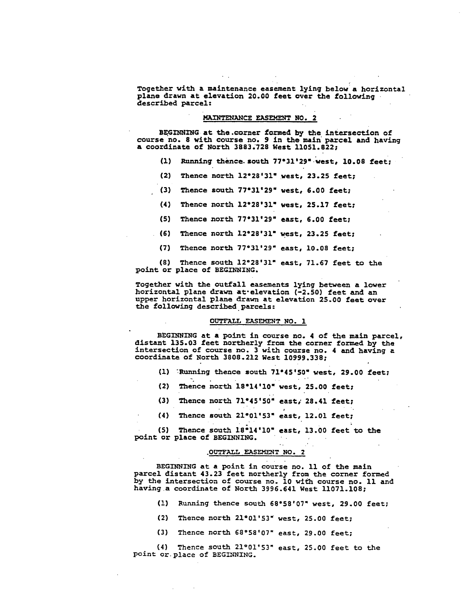**T**og**et**he**r w**i**th a maintenance ea**s**em**e**n**t l**yin**g **be**lo**w a h**o**r**i**z**o**nta**l **pla**n**e drawn a**t **el**e**va**t**i**o**n 2**0**.**00 **fee**t o**ver** th**e f**o**ll**o**win**g des**cribe**d **parcel:**

## **MAINTENANCE EASEMENT NO. 2**

**BE.GINNING a**t **th**e **.c**o**rner f**o**rm**ed **by th**e **Inter**se**cT**io**n** o**f** co**ur**s**e n**o**. 8 w**i**th** cou**rse n**o**.** 9 **in the ma**l**n** \_**par**c**el and having a** coo**rdinat**e o**f N**o**r**th **3883**.**728 We**s**t 11**0**51.822**;

- **(I} Runnin**g **thence, s**o**u**th **7**7"3**1'2**9**" we**s**t, 10o08 feet;**
- **(2) Thence n**o**rth 12**"**28'31**" **WeSt, 23.25 f**eet;
- **{3) Th**e**nce** so**u**th 77"**3**1**'29**" **west, 6.**00 **f**ee**t;**
- **(4) Th**e**nce** no**r**th **12**"**28**'**31**" **w**e**s**t**, 25.17 f**ee**t**;
- **{5) Thence n**o**rth 77**"**3**1**'29**" **ea**s**t, 6.**00 **fe**e**t**;
- **(6)** The**nc**e **n**o**r**th **12**"**28'31**" **w**e**st, 23°25 feet;**
- **(7)** The**nc**e no**r**th **77**"**31'29"** e**ast**, **1**0**.**0**8 f**ee**t;**

**(8) Th**e**nce s**o**u**th **12**"**28'31" east, 7**1**o6**7 **f**ee**t** to **t**he **p**o**int** o**r plac**e o**f B**E**GINNING.**

**T**o**g**ethe**r w**i**th** the o**utfall** e**a**seme**nts** l**yi**ng **b**e**tw**e**en a l**o**wer** h**oriz**o**ntal p**l**ane drawn a**t**-**e**levati**o**n (-2.5**0**) f**e**e**t **and an** u**pp**e**r h**o**riz**o**ntal plane** dr**awn at elevati**o**n 25.**00 **feet** o**ver** the **f**o**ll**o**wing d**es**cribed parcels:**

## **OUTFALL EASEMENT NO. 1**

**BEGINNING at a p**o**int** i**n** co**ur**se **n**o**. 4** o**f** the **main parc**e**l,** d**i**s**tant 135.**0**3 f**ee**t n**o**r**th**erly fr**o**m** the **c**o**r**n**er f**o**rmed by** th**e** i**nt**e**rsec**tio**n** o**f** co**urs**e **n**o**. 3 w**i**t**h **c**o**urse n**o**. 4 and having** a **c**oo**r**d**inate** o**f N**o**rth 38**0**8.212 W**e**st 1**0**999.338**;

**(i)** \_**Runn**l**ng** the**nc**e s**ou**th **71"45'50" west, 2**9**.00 fe**e**t;**

e

- **(2) Thence n**o**rth i8"14'**10" **west, 25.**00 **feet;**
- **(3}** The**nce n**o**rth 7**1**"45'5**0 \_ e**as**t**; 28.4**1 **feet;**
- **(4)** The**nc**e s**ou**th **21**"0**1'53**" **east, 12o**0**1 f**ee**t;**

**(5) T**hen**c**e so**u**th 1**8**\_1**4'**10" e**ast,** 1**3.**00 **fe**e**t ¢**o **the poin**t o**r place** o**f BEGINNING.**

## **.OUTFALL EASEMENT NO**. **2**

**BEGINN**IN**G at** a **p**oi**nt** i**n c**o**urse n**o**. Ii** o**f** th**e m**a**in parc**e**l dis**t**ant 43.23 feet n**o**r**t**h**e**rly fr**o**m** th**e c**o**rner f**o**rm**e**d by the intersecti**o**n of c**o**urse n**o**.** 10 **w**±\_**h c**o**urs**e **n**o**. i**i **and having a c**o**ordinate** o**f Nor**th **3996.641 West 11**0**71.1**0**8;**

- **(!) Run**ni**n**g t**hence** so**uth 68**"**58**'0**7**" **w**e**s**t**, 29.**00 **f**e**e**t**;**
- **(2) Thence nort**h **21**"**0**1**'53" wes**t**, 2**5**.**00 **fee**t**;**
- **(3) Th**e**nce nor**th **68**"**58'**0**7"** e**ast**, **29**°00 **fe**e**t**;

**(4} Th**e**nce sou**th **21**°01**'53" ea**st**, 25.**00 **feet t**o **the point** o**r place** o**f BEG**IN**NING.**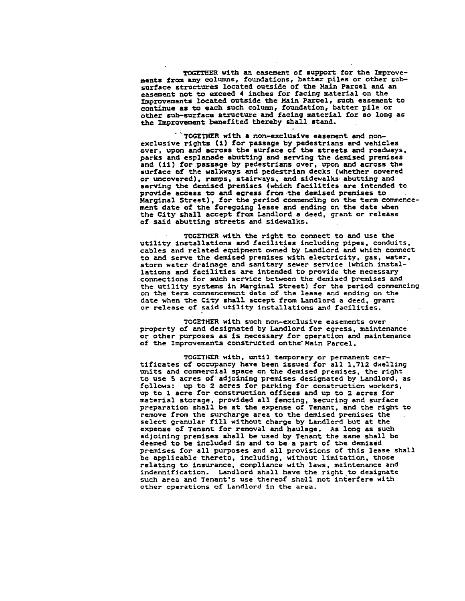**TOGETH**E**R w**i**th an e**aseme**n**t o**f** s**upp**o**r**t **f**o**r** th**e Impr**o**v**e**ment**s **fr**o**m any c**o**l**u**mns**, **f**o**undat**i**ons, batter piles** o**r** o**ther subsurface** s**tru**c**ture**s **l**o**cat**e**d** o**ut**s**id**e o**f th**e **Main Parc**e**l an**d **an** e**a**sem**ent n**o**t t**o e**xceed 4 inch**e**s f**o**r facing mat**e**rial** o**n the I**m**pr**o**vem**e**nt**s **l**oc**at**ed o**ut**s**i**de **th**e **Main Par**c**el,** s**uc**h **ea**s**em**en**t t**o co**ntinue a**s to **each** s**uch** co**lu**m**n, f**o**un**d**at**io**n**, **batter pil**e o**r** othe**r** su**b-**s**urfac**e s**tru**c**t**u**re** a**nd facing mat**e**rial for s**o **l**o**ng a**s **th**e **I**m**pr**o**ve**m**en**t **ben**e**f**i**t**e**d** th**ereby** s**hall** s**tand**.

**\****'***TOGETI4**ER **w***i***th** a **non-exclusi**v**e easement an**d **nonexclu**siv**e** ri**gh**t**s (£) fo**r **passage by pedes**trians **e**\_d ve**h**i**cle**s **over,** *u***pon and across the su**r**face o**f **the** str**ee**t**s** an**d roadways, parks and e**spl**an**ad**e** a**bu**tti**ng and. se***r***v**i**ng the dem**i**sed premises an**d **(**li**) for**,**pas**s**age by pede**strians **over, upon** an**d across** t**he su***r***face of** t**he wa**l**kways and pedes**t*r*ia**n decks (whe**th**e**r **cove***r***ed** or **unco**v**e**r**ed), r**am**p**s**,** s\_**ai**r**way**s**, and sidewalks abu**tt**ing and** servi**ng** t**he** d**e**m**i**s**ed p**remises **(which** fa**cil**ities **a**r**e** int**ended** t**o p**r**ov**i**de a**cce**s**s to an**d e**gr**es**s **f**r**o**m t**h**e **de**m**ised p**r**e**mis**es t**o **Ma**r**ginal S**tr**e**et**), fo**r t**h**e **p**erio**d** c**o**m**m**en**cing** o**n** t**h**e te**rm** com**m**e**nc**ement **da**te **of** the f**o**rego**in**g **lease and** en**d**in**g** o**n the dat**e **when** t**h**e **C**it**y** s**ha**l**l accept f**rom **Landl**ord **a d**e**e**d, **g**r**a**nt or rele**a**se o**f said abutti**n**g** streets **a**n**d sidewalks.**

**T**O**GET**H**E**R w**ith t**h**e r**i**ght** t**o c**o**n**n**ec**t t**o** an**d** us**e** th**e** util**i**t**y** i**ns**t**a**l**la**ti**on**s **a**n**d fac**i**l**it**ies incl**u**ding p**ip**e**s, con**du**it**s, cab**l**es and** re**lat**e**d e**q**uip**m**ent** o**wned by L**an**dl**or**d and wh**i**c**h **c**o**nnec**t to **and** ser**v**e t**h**e d**e**mise**d** premi**s**e**s w**it**h e**le**c**trl**c**l**ty,** g**a**s**,** w**a**ter**, s**torm **wa**t**er drainage** an**d s**anit**ary** se**we**r ser**v**i**c**e **(WhiCh in**st**alla**tio**ns** an**d fac**iliti**e**s **a**r**e** i**n**te**n**d**ed** to **p**\_ov\_**de** t**he** n**ec**es**sa**ry **c**o**n**ne**c**t**i**o**ns f**or **such** serv**ic**e **b**et**w**een t**he** de**m**ised **p**remis**es and th**e **u**t**il**it**y** s**ys**tems **i**n **Marginal S**tr**e**e**t) f**or t**he D**e**r**lo**d c**omm**enci**n**g** o**n** t**h**e ter**m** co**mm**encem**en**t **d**ate o**f** t**h**e **l**ease **and** e**nd**in**g** o**n** t**he** d**a**te **wh**e**n** t**he CI**L**-**y s**hall ac**ce**p**\_ **fr**om **La**n**dl**ord **a deed,** gr**an**t or **rel**e**as**e o**f** s**a**i**d** util**ity** i**n**st**alla**tio**ns a**n**d** fa**c**i**ll**tl**e**s**.**

**TOGETHE**R **w**it**h such n**o**n-**e**xclusive** e**a**s**e**me**n**ts ov**e**r **p**ro**pe**rt**y** o**f** an**d d**esi**gnated by Land**lo**r**d **f**or **egress, ma**i**n**te**nanc**e or ot**h**er **p**ur**p**o**ses a**s 15 n**ec**es**sa**r**y f**or o**p**er**a**t**i**o**n and** m**a**inte**nan**c**e** o**f** the **I**m**p**roveme**n**ts constr**uc**t**e**d o**n**the**-**M**ain Pa**r**cel.**

T**OGET**H**E**R **w**i**t**h**, u**ntil tem**p**o**ra**r**y** or perm**an**e**n**t cert**ifica**t**es** o**f** o**cc**u**pa**n**cy ha**ve **been** iss**ued** for **a**ll **1,**7**12 dw**e**ll**in**g uni**ts **and** co**n**1\_erc**lal** s**pa**ce on \_**h**e **d**emise**d** pr**e**mlse**s,** t**h**e **ri**g**h**t to use **5 acres** o**f ad**joi**n**i**n**g **p**remises desi**gna**t**e**d **by Landl**o**rd, a**s **f**o**ll**o**ws:** u**p t**o **2 acres** for **pa**r**k**ing **f**or co**n**stru**c**tio**n w**o**rke**r**s, up** to i **acre f**or **c**onstructio**n** o**ffice**s **and u**p to **2 acres f**or m**a**teri**a**l stor**a**ge**,** provi**d**e**d al**l **fencing,** \_e**cu**r**l**ng **a**n**d surface p**r**e**p**ara**t**i**o**n** s**ha**l**l b**e **a**t **th**e e**xp**e**n**se of **T**en**an**t**, and** t**he** rig**h**t to r**e**move **fr**om the s**u**rc**ha**rge **area** to t**h**e **d**e**mised** pr**e**m**i**s**e**s **th**e s**el**ec\_ **g**r**an**ul**a**r **f**i**ll w**itho**ut cha**r**ge by La**n**dl**or**d** but **at th**e **expense** \_f **Tenan**t **f**or **re**mo**val a**n**d hau**l**a**g**e. A**s lo**n**g **as such adj**o**ining** pr**e**mis**e**s s**ha**l**l b**e **used by Tenant th**e s**a**me s**hal**l **be dee**m**ed** to **b**e in**clud**ed in **a**n**d** to **b**e **a** p**a**rt o**f** t**h**e **d**e**m**i**s**e**d p**r**em**i**ses** for **al**l **pu**r**p**o**s**es an**d** al**l p**ro**vi**sio**n**s o**f** th**i**s **lea**se **s**h**all b**e **a**p**pl**i**cab**le t**h**ereto**,** in**c**l**u**di**n**g,**,** wit**h**out **l**lm**i**r**a**tlo**n**, those re**la**ti**ng** to i**n**s**u**r**a**n**c**e, c**o**m**p**li**a**n**c**e **wi**t**h law**s**,** ma**in**tenan**c**e an**d i**n**d**emni**f**i**ca**ti**o**n**. Landl**or**d** s**h**a**ll hav**e t**h**e rig**ht.**to **d**esig**n**ate **such ar**e**a** an**d T**en**ant**'**s u**se t**h**e**r**e**o**f s**ha.**l**l** n**o**t **in**ter**f**e**r**e w**l**th ot**h**er o**pe**r**a**tio**n**s o**f Landl**o**rd** i**n** t**h**e **ar**e**a.**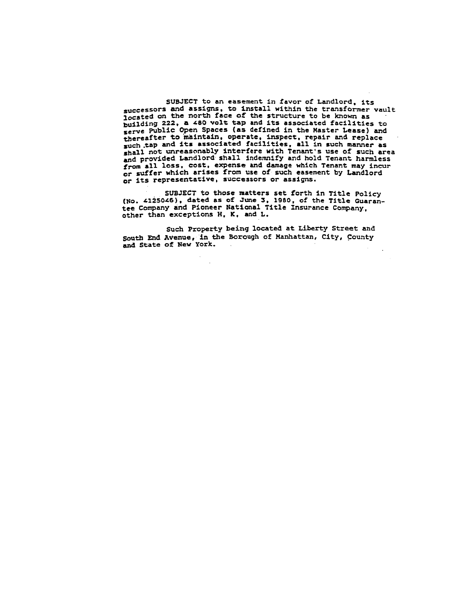SUBJECT to an easement in favor of Landlord, its successors and assigns, to install within the transformer vault<br>located on the north face of the structure to be known as building 222, a 480 volt tap and its associated facilities to serve Public Open Spaces (as defined in the Master Lease) and thereafter to maintain, operate, inspect, repair and replace<br>such tap and its associated facilities, all in such manner as shall not unreasonably interfere with Tenant's use of such area and provided Landlord shall indemnify and hold Tenant harmless from all loss, cost, expense and damage which Tenant may incur or suffer which arises from use of such easement by Landlord or its representative, successors or assigns.

SUBJECT to those matters set forth in Title Policy<br>(No. 4125046), dated as of June 3, 1980, of the Title Guarantee Company and Pioneer National Title Insurance Company, other than exceptions H. K. and L.

Such Property being located at Liberty Street and South End Avenue, in the Borough of Manhattan, City, County and State of New York.